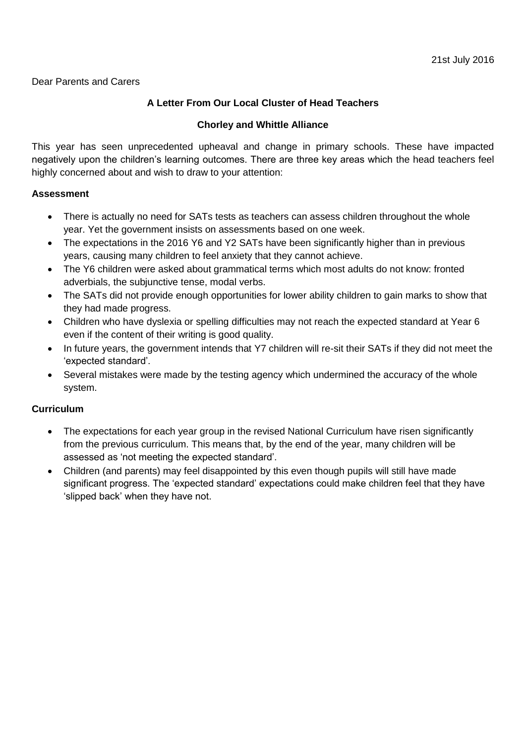Dear Parents and Carers

# **A Letter From Our Local Cluster of Head Teachers**

### **Chorley and Whittle Alliance**

This year has seen unprecedented upheaval and change in primary schools. These have impacted negatively upon the children's learning outcomes. There are three key areas which the head teachers feel highly concerned about and wish to draw to your attention:

#### **Assessment**

- There is actually no need for SATs tests as teachers can assess children throughout the whole year. Yet the government insists on assessments based on one week.
- The expectations in the 2016 Y6 and Y2 SATs have been significantly higher than in previous years, causing many children to feel anxiety that they cannot achieve.
- The Y6 children were asked about grammatical terms which most adults do not know: fronted adverbials, the subjunctive tense, modal verbs.
- The SATs did not provide enough opportunities for lower ability children to gain marks to show that they had made progress.
- Children who have dyslexia or spelling difficulties may not reach the expected standard at Year 6 even if the content of their writing is good quality.
- In future years, the government intends that Y7 children will re-sit their SATs if they did not meet the 'expected standard'.
- Several mistakes were made by the testing agency which undermined the accuracy of the whole system.

#### **Curriculum**

- The expectations for each year group in the revised National Curriculum have risen significantly from the previous curriculum. This means that, by the end of the year, many children will be assessed as 'not meeting the expected standard'.
- Children (and parents) may feel disappointed by this even though pupils will still have made significant progress. The 'expected standard' expectations could make children feel that they have 'slipped back' when they have not.